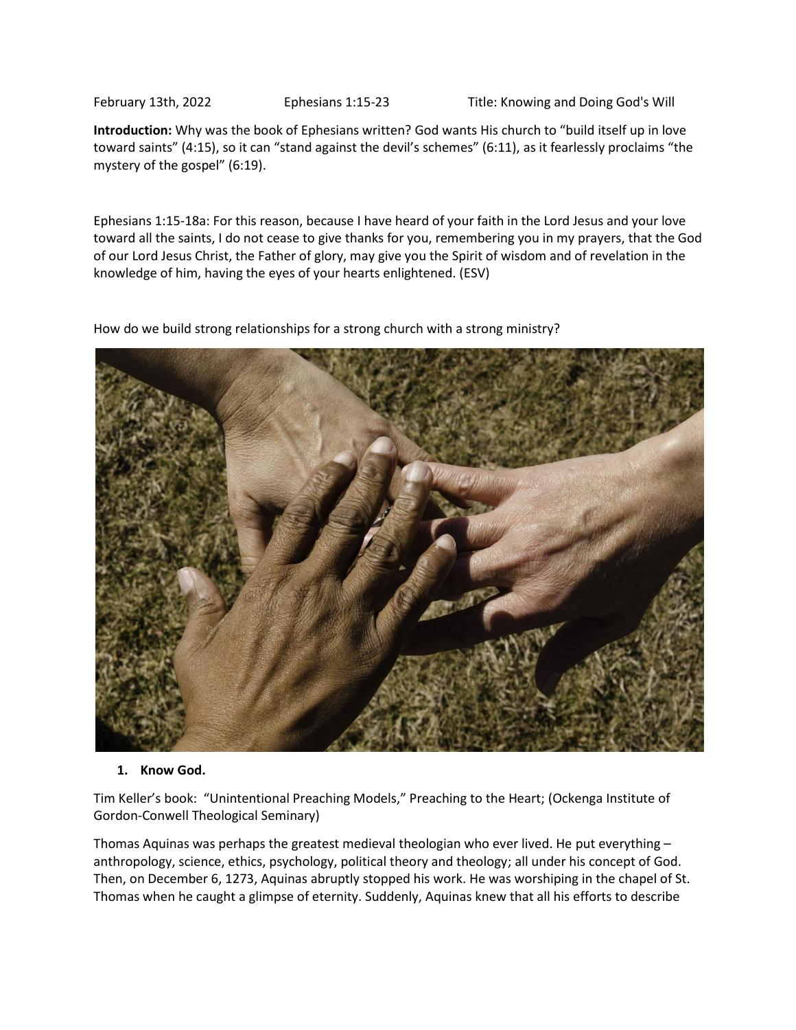February 13th, 2022 Ephesians 1:15-23 Title: Knowing and Doing God's Will

**Introduction:** Why was the book of Ephesians written? God wants His church to "build itself up in love toward saints" (4:15), so it can "stand against the devil's schemes" (6:11), as it fearlessly proclaims "the mystery of the gospel" (6:19).

Ephesians 1:15-18a: For this reason, because I have heard of your faith in the Lord Jesus and your love toward all the saints, I do not cease to give thanks for you, remembering you in my prayers, that the God of our Lord Jesus Christ, the Father of glory, may give you the Spirit of wisdom and of revelation in the knowledge of him, having the eyes of your hearts enlightened. (ESV)

How do we build strong relationships for a strong church with a strong ministry?



## **1. Know God.**

Tim Keller's book: "Unintentional Preaching Models," Preaching to the Heart; (Ockenga Institute of Gordon-Conwell Theological Seminary)

Thomas Aquinas was perhaps the greatest medieval theologian who ever lived. He put everything – anthropology, science, ethics, psychology, political theory and theology; all under his concept of God. Then, on December 6, 1273, Aquinas abruptly stopped his work. He was worshiping in the chapel of St. Thomas when he caught a glimpse of eternity. Suddenly, Aquinas knew that all his efforts to describe